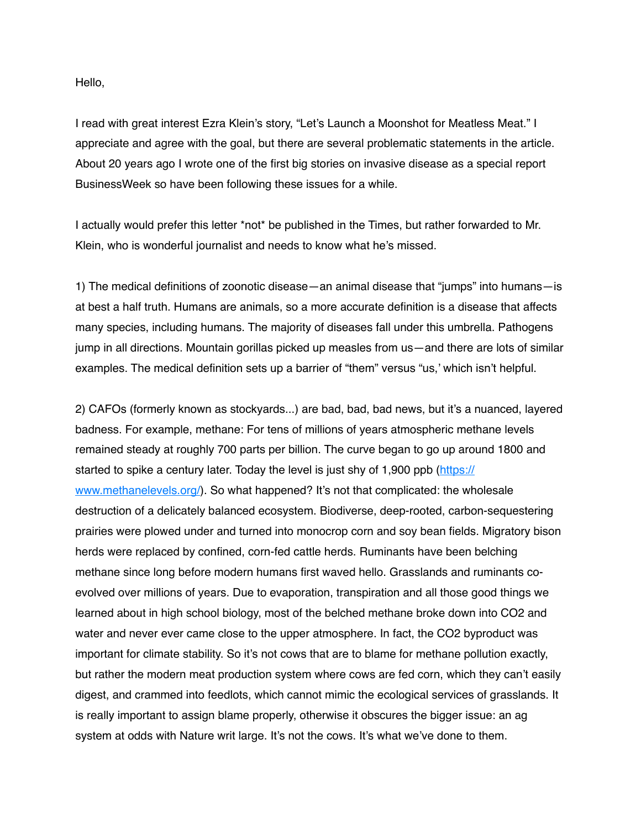Hello,

I read with great interest Ezra Klein's story, "Let's Launch a Moonshot for Meatless Meat." I appreciate and agree with the goal, but there are several problematic statements in the article. About 20 years ago I wrote one of the first big stories on invasive disease as a special report BusinessWeek so have been following these issues for a while.

I actually would prefer this letter \*not\* be published in the Times, but rather forwarded to Mr. Klein, who is wonderful journalist and needs to know what he's missed.

1) The medical definitions of zoonotic disease—an animal disease that "jumps" into humans—is at best a half truth. Humans are animals, so a more accurate definition is a disease that affects many species, including humans. The majority of diseases fall under this umbrella. Pathogens jump in all directions. Mountain gorillas picked up measles from us—and there are lots of similar examples. The medical definition sets up a barrier of "them" versus "us,' which isn't helpful.

2) CAFOs (formerly known as stockyards...) are bad, bad, bad news, but it's a nuanced, layered badness. For example, methane: For tens of millions of years atmospheric methane levels remained steady at roughly 700 parts per billion. The curve began to go up around 1800 and started to spike a century later. Today the level is just shy of 1,900 ppb [\(https://](https://www.methanelevels.org/) [www.methanelevels.org/](https://www.methanelevels.org/)). So what happened? It's not that complicated: the wholesale destruction of a delicately balanced ecosystem. Biodiverse, deep-rooted, carbon-sequestering prairies were plowed under and turned into monocrop corn and soy bean fields. Migratory bison herds were replaced by confined, corn-fed cattle herds. Ruminants have been belching methane since long before modern humans first waved hello. Grasslands and ruminants coevolved over millions of years. Due to evaporation, transpiration and all those good things we learned about in high school biology, most of the belched methane broke down into CO2 and water and never ever came close to the upper atmosphere. In fact, the CO2 byproduct was important for climate stability. So it's not cows that are to blame for methane pollution exactly, but rather the modern meat production system where cows are fed corn, which they can't easily digest, and crammed into feedlots, which cannot mimic the ecological services of grasslands. It is really important to assign blame properly, otherwise it obscures the bigger issue: an ag system at odds with Nature writ large. It's not the cows. It's what we've done to them.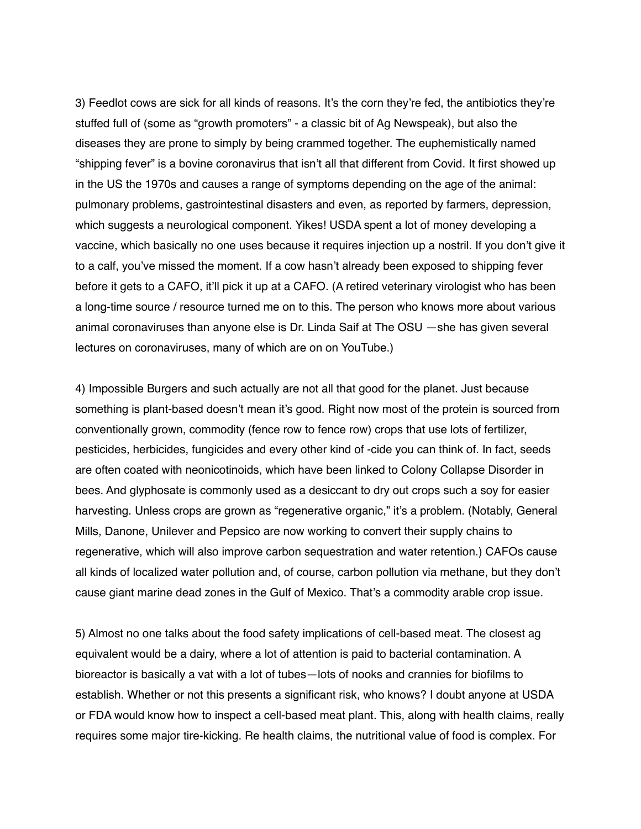3) Feedlot cows are sick for all kinds of reasons. It's the corn they're fed, the antibiotics they're stuffed full of (some as "growth promoters" - a classic bit of Ag Newspeak), but also the diseases they are prone to simply by being crammed together. The euphemistically named "shipping fever" is a bovine coronavirus that isn't all that different from Covid. It first showed up in the US the 1970s and causes a range of symptoms depending on the age of the animal: pulmonary problems, gastrointestinal disasters and even, as reported by farmers, depression, which suggests a neurological component. Yikes! USDA spent a lot of money developing a vaccine, which basically no one uses because it requires injection up a nostril. If you don't give it to a calf, you've missed the moment. If a cow hasn't already been exposed to shipping fever before it gets to a CAFO, it'll pick it up at a CAFO. (A retired veterinary virologist who has been a long-time source / resource turned me on to this. The person who knows more about various animal coronaviruses than anyone else is Dr. Linda Saif at The OSU —she has given several lectures on coronaviruses, many of which are on on YouTube.)

4) Impossible Burgers and such actually are not all that good for the planet. Just because something is plant-based doesn't mean it's good. Right now most of the protein is sourced from conventionally grown, commodity (fence row to fence row) crops that use lots of fertilizer, pesticides, herbicides, fungicides and every other kind of -cide you can think of. In fact, seeds are often coated with neonicotinoids, which have been linked to Colony Collapse Disorder in bees. And glyphosate is commonly used as a desiccant to dry out crops such a soy for easier harvesting. Unless crops are grown as "regenerative organic," it's a problem. (Notably, General Mills, Danone, Unilever and Pepsico are now working to convert their supply chains to regenerative, which will also improve carbon sequestration and water retention.) CAFOs cause all kinds of localized water pollution and, of course, carbon pollution via methane, but they don't cause giant marine dead zones in the Gulf of Mexico. That's a commodity arable crop issue.

5) Almost no one talks about the food safety implications of cell-based meat. The closest ag equivalent would be a dairy, where a lot of attention is paid to bacterial contamination. A bioreactor is basically a vat with a lot of tubes—lots of nooks and crannies for biofilms to establish. Whether or not this presents a significant risk, who knows? I doubt anyone at USDA or FDA would know how to inspect a cell-based meat plant. This, along with health claims, really requires some major tire-kicking. Re health claims, the nutritional value of food is complex. For